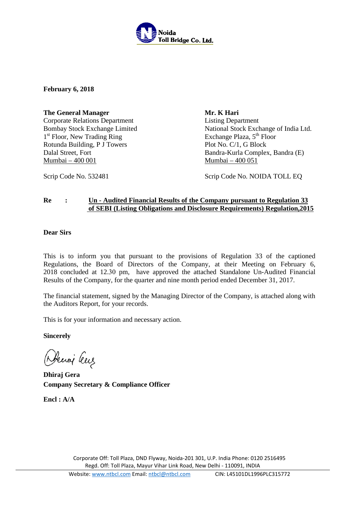

**February 6, 2018** 

**The General Manager** Corporate Relations Department Bombay Stock Exchange Limited 1<sup>st</sup> Floor, New Trading Ring Rotunda Building, P J Towers Dalal Street, Fort Mumbai – 400 001

**Mr. K Hari** Listing Department National Stock Exchange of India Ltd. Exchange Plaza, 5<sup>th</sup> Floor Plot No. C/1, G Block Bandra-Kurla Complex, Bandra (E) Mumbai – 400 051

Scrip Code No. 532481 Scrip Code No. NOIDA TOLL EQ

# **Re : Un - Audited Financial Results of the Company pursuant to Regulation 33 of SEBI (Listing Obligations and Disclosure Requirements) Regulation,2015**

# **Dear Sirs**

This is to inform you that pursuant to the provisions of Regulation 33 of the captioned Regulations, the Board of Directors of the Company, at their Meeting on February 6, 2018 concluded at 12.30 pm, have approved the attached Standalone Un-Audited Financial Results of the Company, for the quarter and nine month period ended December 31, 2017.

The financial statement, signed by the Managing Director of the Company, is attached along with the Auditors Report, for your records.

This is for your information and necessary action.

**Sincerely**

Deciaj leur

**Dhiraj Gera Company Secretary & Compliance Officer** 

**Encl : A/A**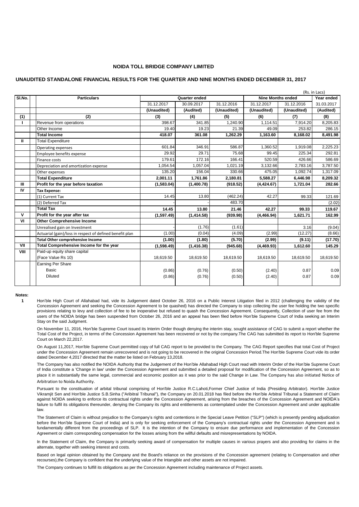### **NOIDA TOLL BRIDGE COMPANY LIMITED**

### **UNAUDITED STANDALONE FINANCIAL RESULTS FOR THE QUARTER AND NINE MONTHS ENDED DECEMBER 31, 2017**

|              |                                                          |               |             |             |                          |             | (Rs. in Lacs) |
|--------------|----------------------------------------------------------|---------------|-------------|-------------|--------------------------|-------------|---------------|
| SI.No.       | <b>Particulars</b>                                       | Quarter ended |             |             | <b>Nine Months ended</b> |             | Year ended    |
|              |                                                          | 31.12.2017    | 30.09.2017  | 31.12.2016  | 31.12.2017               | 31.12.2016  | 31.03.2017    |
|              |                                                          | (Unaudited)   | (Audited)   | (Unaudited) | (Unaudited)              | (Unaudited) | (Audited)     |
| (1)          | (2)                                                      | (3)           | (4)         | (5)         | (6)                      | (7)         | (8)           |
|              | Revenue from operations                                  | 398.67        | 341.85      | 1,240.90    | 1,114.51                 | 7,914.20    | 8,205.83      |
|              | Other Income                                             | 19.40         | 19.23       | 21.39       | 49.09                    | 253.82      | 286.15        |
|              | <b>Total Income</b>                                      | 418.07        | 361.08      | 1,262.29    | 1,163.60                 | 8,168.02    | 8,491.98      |
| Ш            | <b>Total Expenditure</b>                                 |               |             |             |                          |             |               |
|              | Operating expenses                                       | 601.84        | 346.91      | 586.87      | 1,360.52                 | 1,919.08    | 2,225.23      |
|              | Employee benefits expense                                | 29.92         | 29.71       | 75.68       | 99.45                    | 225.34      | 292.81        |
|              | Finance costs                                            | 179.61        | 172.16      | 166.41      | 520.59                   | 426.66      | 586.69        |
|              | Depreciation and amortization expense                    | 1,054.54      | 1,057.04    | 1,021.19    | 3,132.66                 | 2,783.16    | 3,787.50      |
|              | Other expenses                                           | 135.20        | 156.04      | 330.66      | 475.05                   | 1,092.74    | 1,317.09      |
|              | <b>Total Expenditure</b>                                 | 2,001.11      | 1,761.86    | 2,180.81    | 5,588.27                 | 6,446.98    | 8,209.32      |
| $\mathbf{m}$ | Profit for the year before taxation                      | (1,583.04)    | (1,400.78)  | (918.52)    | (4, 424.67)              | 1,721.04    | 282.66        |
| IV           | <b>Tax Expense:</b>                                      |               |             |             |                          |             |               |
|              | (1) Current Tax                                          | 14.45         | 13.80       | (462.24)    | 42.27                    | 99.33       | 121.69        |
|              | (2) Deferred Tax                                         |               |             | 483.70      |                          |             | (2.02)        |
|              | <b>Total Tax</b>                                         | 14.45         | 13.80       | 21.46       | 42.27                    | 99.33       | 119.67        |
| $\mathbf{V}$ | Profit for the year after tax                            | (1,597.49)    | (1,414.58)  | (939.98)    | (4, 466.94)              | 1,621.71    | 162.99        |
| VI           | <b>Other Comprehensive Income</b>                        |               |             |             |                          |             |               |
|              | Unrealised gain on Investment                            |               | (1.76)      | (1.61)      |                          | 3.16        | (9.04)        |
|              | Actuarial (gain)/loss in respect of defined benefit plan | (1.00)        | (0.04)      | (4.09)      | (2.99)                   | (12.27)     | (8.66)        |
|              | <b>Total Other comprehensive Income</b>                  | (1.00)        | (1.80)      | (5.70)      | (2.99)                   | (9.11)      | (17.70)       |
| VII          | Total Comprehensive Income for the year                  | (1,598.49)    | (1, 416.38) | (945.68)    | (4,469.93)               | 1,612.60    | 145.29        |
| VIII         | Paid-up equity share capital                             |               |             |             |                          |             |               |
|              | (Face Value Rs 10)                                       | 18,619.50     | 18,619.50   | 18,619.50   | 18,619.50                | 18,619.50   | 18,619.50     |
|              | <b>Earning Per Share</b>                                 |               |             |             |                          |             |               |
|              | Basic                                                    | (0.86)        | (0.76)      | (0.50)      | (2.40)                   | 0.87        | 0.09          |
|              | <b>Diluted</b>                                           | (0.86)        | (0.76)      | (0.50)      | (2.40)                   | 0.87        | 0.09          |
|              |                                                          |               |             |             |                          |             |               |

**Notes:**

**1** Hon'ble High Court of Allahabad had, vide its Judgement dated October 26, 2016 on a Public Interest Litigation filed in 2012 (challenging the validity of the Concession Agreement and seeking the Concession Agreement to be quashed) has directed the Company to stop collecting the user fee holding the two specific provisions relating to levy and collection of fee to be inoperative but refused to quash the Concession Agreement. Consequently, Collection of user fee from the users of the NOIDA bridge has been suspended from October 26, 2016 and an appeal has been filed before Hon'ble Supreme Court of India seeking an Interim Stay on the said Judgment.

On November 11, 2016, Hon'ble Supreme Court issued its Interim Order though denying the interim stay, sought assistance of CAG to submit a report whether the Total Cost of the Project, in terms of the Concession Agreement has been recovered or not by the company.The CAG has submitted its report to Hon'ble Supreme Court on March 22,2017.

On August 11,2017, Hon'ble Supreme Court permitted copy of full CAG report to be provided to the Company. The CAG Report specifies that total Cost of Project under the Concession Agreement remain unrecovered and is not going to be recovered in the original Concession Period.The Hon'ble Supreme Court vide its order dated December 4,2017 directed that the matter be listed on February 13,2018.

The Company has also notified the NOIDA Authority that the Judgement of the Hon'ble Allahabad High Court read with Interim Order of the Hon'ble Supreme Court of India constitute a 'Change in law' under the Concession Agreement and submitted a detailed proposal for modification of the Concession Agreement, so as to place it in substantially the same legal, commercial and economic position as it was prior to the said Change in Law. The Company has also initiated Notice of Arbitration to Noida Authority.

Pursuant to the constituation of arbital tribunal comprising of Hon'ble Justice R.C.Lahoti,Former Chief Justice of India (Presiding Arbitrator). Hon'ble Justice Vikramjit Sen and Hon'ble Justice S.B.Sinha ("Aribitral Tribunal"), the Company on 20.01.2018 has filed before the Hon'ble Arbitral Tribunal a Statement of Claim against NOIDA seeking to enforce its contractual rights under the Concession Agreement, arising from the breaches of the Concession Agreement and NOIDA's failure to fulfil its obligations thereunder, denying the Company its rights and entitlements as contemplated under the Concession Agreement and under applicable law.

The Statement of Claim is without prejudice to the Company's rights and contentions in the Special Leave Petition ("SLP") (which is presently pending adjudication before the Hon'ble Supreme Court of India) and is only for seeking enforcement of the Company's contractual rights under the Concession Agreement and is fundamentally different from the proceedings of SLP. It is the intention of the Company to ensure due performance and implementation of the Concession Agreement or claim corresponding compensation for the losses arising from the willful defaults and misrepresentations by NOIDA.

In the Statement of Claim, the Company is primarily seeking award of compensation for multiple causes in various prayers and also providing for claims in the alternate, together with seeking interest and costs.

Based on legal opinion obtained by the Company and the Board's reliance on the provisions of the Concession agreement (relating to Compensation and other recourses),the Company is confident that the underlying value of the Intangible and other assets are not impaired.

The Company continues to fulfill its obligations as per the Concession Agreement including maintenance of Project assets.